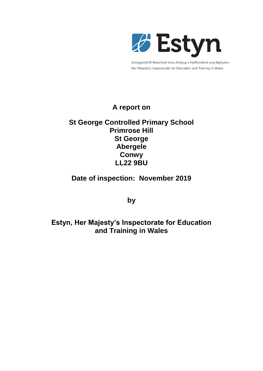

Arolygiaeth Ei Mawrhydi dros Addysg a Hyfforddiant yng Nghymru Her Majesty's Inspectorate for Education and Training in Wales

# **A report on**

# **St George Controlled Primary School Primrose Hill St George Abergele Conwy LL22 9BU**

# **Date of inspection: November 2019**

**by**

# **Estyn, Her Majesty's Inspectorate for Education and Training in Wales**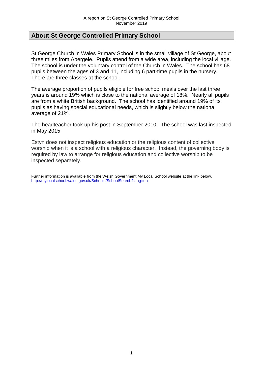# **About St George Controlled Primary School**

St George Church in Wales Primary School is in the small village of St George, about three miles from Abergele. Pupils attend from a wide area, including the local village. The school is under the voluntary control of the Church in Wales. The school has 68 pupils between the ages of 3 and 11, including 6 part-time pupils in the nursery. There are three classes at the school.

The average proportion of pupils eligible for free school meals over the last three years is around 19% which is close to the national average of 18%. Nearly all pupils are from a white British background. The school has identified around 19% of its pupils as having special educational needs, which is slightly below the national average of 21%.

The headteacher took up his post in September 2010. The school was last inspected in May 2015.

Estyn does not inspect religious education or the religious content of collective worship when it is a school with a religious character. Instead, the governing body is required by law to arrange for religious education and collective worship to be inspected separately.

Further information is available from the Welsh Government My Local School website at the link below. <http://mylocalschool.wales.gov.uk/Schools/SchoolSearch?lang=en>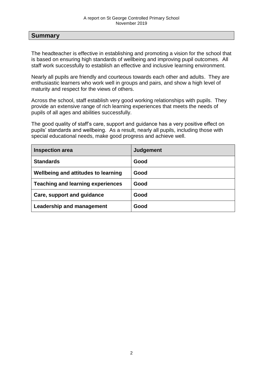#### **Summary**

The headteacher is effective in establishing and promoting a vision for the school that is based on ensuring high standards of wellbeing and improving pupil outcomes. All staff work successfully to establish an effective and inclusive learning environment.

Nearly all pupils are friendly and courteous towards each other and adults. They are enthusiastic learners who work well in groups and pairs, and show a high level of maturity and respect for the views of others.

Across the school, staff establish very good working relationships with pupils. They provide an extensive range of rich learning experiences that meets the needs of pupils of all ages and abilities successfully.

The good quality of staff's care, support and guidance has a very positive effect on pupils' standards and wellbeing. As a result, nearly all pupils, including those with special educational needs, make good progress and achieve well.

| <b>Inspection area</b>                   | Judgement |
|------------------------------------------|-----------|
| <b>Standards</b>                         | Good      |
| Wellbeing and attitudes to learning      | Good      |
| <b>Teaching and learning experiences</b> | Good      |
| Care, support and guidance               | Good      |
| <b>Leadership and management</b>         | Good      |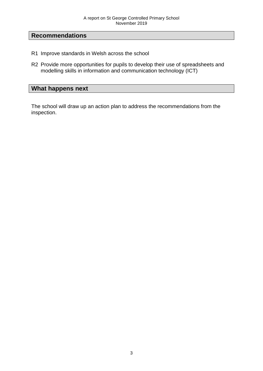# **Recommendations**

- R1 Improve standards in Welsh across the school
- R2 Provide more opportunities for pupils to develop their use of spreadsheets and modelling skills in information and communication technology (ICT)

#### **What happens next**

The school will draw up an action plan to address the recommendations from the inspection.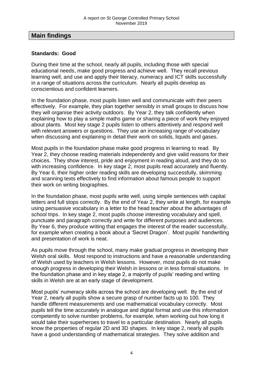## **Main findings**

#### **Standards: Good**

During their time at the school, nearly all pupils, including those with special educational needs, make good progress and achieve well. They recall previous learning well, and use and apply their literacy, numeracy and ICT skills successfully in a range of situations across the curriculum. Nearly all pupils develop as conscientious and confident learners.

In the foundation phase, most pupils listen well and communicate with their peers effectively. For example, they plan together sensibly in small groups to discuss how they will organise their activity outdoors. By Year 2, they talk confidently when explaining how to play a simple maths game or sharing a piece of work they enjoyed about plants. Most key stage 2 pupils listen to others attentively and respond well with relevant answers or questions. They use an increasing range of vocabulary when discussing and explaining in detail their work on solids, liquids and gases.

Most pupils in the foundation phase make good progress in learning to read. By Year 2, they choose reading materials independently and give valid reasons for their choices. They show interest, pride and enjoyment in reading aloud, and they do so with increasing confidence. In key stage 2, most pupils read accurately and fluently. By Year 6, their higher order reading skills are developing successfully, skimming and scanning texts effectively to find information about famous people to support their work on writing biographies.

In the foundation phase, most pupils write well, using simple sentences with capital letters and full stops correctly. By the end of Year 2, they write at length, for example using persuasive vocabulary in a letter to the head teacher about the advantages of school trips. In key stage 2, most pupils choose interesting vocabulary and spell, punctuate and paragraph correctly and write for different purposes and audiences. By Year 6, they produce writing that engages the interest of the reader successfully, for example when creating a book about a 'Secret Dragon'. Most pupils' handwriting and presentation of work is neat.

As pupils move through the school, many make gradual progress in developing their Welsh oral skills. Most respond to instructions and have a reasonable understanding of Welsh used by teachers in Welsh lessons. However, most pupils do not make enough progress in developing their Welsh in lessons or in less formal situations. In the foundation phase and in key stage 2, a majority of pupils' reading and writing skills in Welsh are at an early stage of development.

Most pupils' numeracy skills across the school are developing well. By the end of Year 2, nearly all pupils show a secure grasp of number facts up to 100. They handle different measurements and use mathematical vocabulary correctly. Most pupils tell the time accurately in analogue and digital format and use this information competently to solve number problems, for example, when working out how long it would take their superheroes to travel to a particular destination. Nearly all pupils know the properties of regular 2D and 3D shapes. In key stage 2, nearly all pupils have a good understanding of mathematical strategies. They solve addition and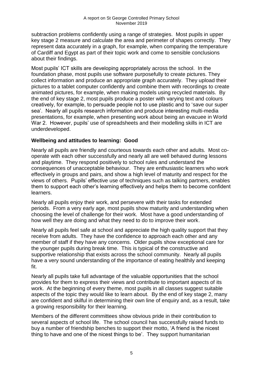subtraction problems confidently using a range of strategies. Most pupils in upper key stage 2 measure and calculate the area and perimeter of shapes correctly. They represent data accurately in a graph, for example, when comparing the temperature of Cardiff and Egypt as part of their topic work and come to sensible conclusions about their findings.

Most pupils' ICT skills are developing appropriately across the school. In the foundation phase, most pupils use software purposefully to create pictures. They collect information and produce an appropriate graph accurately. They upload their pictures to a tablet computer confidently and combine them with recordings to create animated pictures, for example, when making models using recycled materials. By the end of key stage 2, most pupils produce a poster with varying text and colours creatively, for example, to persuade people not to use plastic and to 'save our super sea'. Nearly all pupils research information and produce interesting multi-media presentations, for example, when presenting work about being an evacuee in World War 2. However, pupils' use of spreadsheets and their modelling skills in ICT are underdeveloped.

### **Wellbeing and attitudes to learning: Good**

Nearly all pupils are friendly and courteous towards each other and adults. Most cooperate with each other successfully and nearly all are well behaved during lessons and playtime. They respond positively to school rules and understand the consequences of unacceptable behaviour. They are enthusiastic learners who work effectively in groups and pairs, and show a high level of maturity and respect for the views of others. Pupils' effective use of techniques such as talking partners, enables them to support each other's learning effectively and helps them to become confident learners.

Nearly all pupils enjoy their work, and persevere with their tasks for extended periods. From a very early age, most pupils show maturity and understanding when choosing the level of challenge for their work. Most have a good understanding of how well they are doing and what they need to do to improve their work.

Nearly all pupils feel safe at school and appreciate the high quality support that they receive from adults. They have the confidence to approach each other and any member of staff if they have any concerns. Older pupils show exceptional care for the younger pupils during break time. This is typical of the constructive and supportive relationship that exists across the school community. Nearly all pupils have a very sound understanding of the importance of eating healthily and keeping fit.

Nearly all pupils take full advantage of the valuable opportunities that the school provides for them to express their views and contribute to important aspects of its work. At the beginning of every theme, most pupils in all classes suggest suitable aspects of the topic they would like to learn about. By the end of key stage 2, many are confident and skilful in determining their own line of enquiry and, as a result, take a growing responsibility for their learning.

Members of the different committees show obvious pride in their contribution to several aspects of school life. The school council has successfully raised funds to buy a number of friendship benches to support their motto, 'A friend is the nicest thing to have and one of the nicest things to be'. They support humanitarian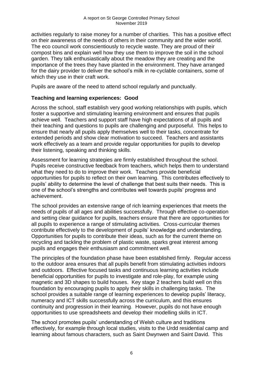activities regularly to raise money for a number of charities. This has a positive effect on their awareness of the needs of others in their community and the wider world. The eco council work conscientiously to recycle waste. They are proud of their compost bins and explain well how they use them to improve the soil in the school garden. They talk enthusiastically about the meadow they are creating and the importance of the trees they have planted in the environment. They have arranged for the dairy provider to deliver the school's milk in re-cyclable containers, some of which they use in their craft work.

Pupils are aware of the need to attend school regularly and punctually.

#### **Teaching and learning experiences: Good**

Across the school, staff establish very good working relationships with pupils, which foster a supportive and stimulating learning environment and ensures that pupils achieve well. Teachers and support staff have high expectations of all pupils and their teaching and questions to pupils are challenging and purposeful. This helps to ensure that nearly all pupils apply themselves well to their tasks, concentrate for extended periods and show clear motivation to succeed. Teachers and assistants work effectively as a team and provide regular opportunities for pupils to develop their listening, speaking and thinking skills.

Assessment for learning strategies are firmly established throughout the school. Pupils receive constructive feedback from teachers, which helps them to understand what they need to do to improve their work. Teachers provide beneficial opportunities for pupils to reflect on their own learning. This contributes effectively to pupils' ability to determine the level of challenge that best suits their needs. This is one of the school's strengths and contributes well towards pupils' progress and achievement.

The school provides an extensive range of rich learning experiences that meets the needs of pupils of all ages and abilities successfully. Through effective co-operation and setting clear guidance for pupils, teachers ensure that there are opportunities for all pupils to experience a range of stimulating activities. Cross-curricular themes contribute effectively to the development of pupils' knowledge and understanding. Opportunities for pupils to contribute their ideas, such as for the current theme on recycling and tackling the problem of plastic waste, sparks great interest among pupils and engages their enthusiasm and commitment well.

The principles of the foundation phase have been established firmly. Regular access to the outdoor area ensures that all pupils benefit from stimulating activities indoors and outdoors. Effective focused tasks and continuous learning activities include beneficial opportunities for pupils to investigate and role-play, for example using magnetic and 3D shapes to build houses. Key stage 2 teachers build well on this foundation by encouraging pupils to apply their skills in challenging tasks. The school provides a suitable range of learning experiences to develop pupils' literacy, numeracy and ICT skills successfully across the curriculum, and this ensures continuity and progression in their learning. However, pupils do not have enough opportunities to use spreadsheets and develop their modelling skills in ICT.

The school promotes pupils' understanding of Welsh culture and traditions effectively, for example through local studies, visits to the Urdd residential camp and learning about famous characters, such as Saint Dwynwen and Saint David. This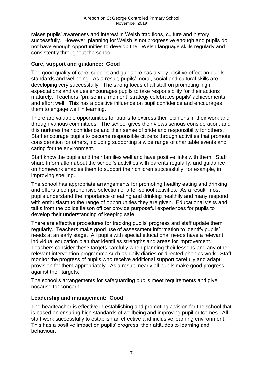raises pupils' awareness and interest in Welsh traditions, culture and history successfully. However, planning for Welsh is not progressive enough and pupils do not have enough opportunities to develop their Welsh language skills regularly and consistently throughout the school.

#### **Care, support and guidance: Good**

The good quality of care, support and guidance has a very positive effect on pupils' standards and wellbeing. As a result, pupils' moral, social and cultural skills are developing very successfully. The strong focus of all staff on promoting high expectations and values encourages pupils to take responsibility for their actions maturely. Teachers' 'praise in a moment' strategy celebrates pupils' achievements and effort well. This has a positive influence on pupil confidence and encourages them to engage well in learning.

There are valuable opportunities for pupils to express their opinions in their work and through various committees. The school gives their views serious consideration, and this nurtures their confidence and their sense of pride and responsibility for others. Staff encourage pupils to become responsible citizens through activities that promote consideration for others, including supporting a wide range of charitable events and caring for the environment.

Staff know the pupils and their families well and have positive links with them. Staff share information about the school's activities with parents regularly, and guidance on homework enables them to support their children successfully, for example, in improving spelling.

The school has appropriate arrangements for promoting healthy eating and drinking and offers a comprehensive selection of after-school activities. As a result, most pupils understand the importance of eating and drinking healthily and many respond with enthusiasm to the range of opportunities they are given. Educational visits and talks from the police liaison officer provide purposeful experiences for pupils to develop their understanding of keeping safe.

There are effective procedures for tracking pupils' progress and staff update them regularly. Teachers make good use of assessment information to identify pupils' needs at an early stage. All pupils with special educational needs have a relevant individual education plan that identifies strengths and areas for improvement. Teachers consider these targets carefully when planning their lessons and any other relevant intervention programme such as daily diaries or directed phonics work. Staff monitor the progress of pupils who receive additional support carefully and adapt provision for them appropriately. As a result, nearly all pupils make good progress against their targets.

The school's arrangements for safeguarding pupils meet requirements and give nocause for concern.

#### **Leadership and management: Good**

The headteacher is effective in establishing and promoting a vision for the school that is based on ensuring high standards of wellbeing and improving pupil outcomes. All staff work successfully to establish an effective and inclusive learning environment. This has a positive impact on pupils' progress, their attitudes to learning and behaviour.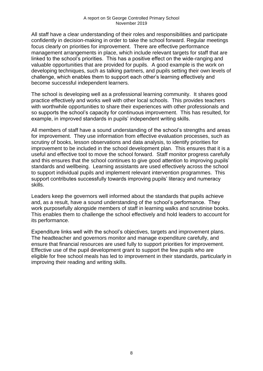All staff have a clear understanding of their roles and responsibilities and participate confidently in decision-making in order to take the school forward. Regular meetings focus clearly on priorities for improvement. There are effective performance management arrangements in place, which include relevant targets for staff that are linked to the school's priorities. This has a positive effect on the wide-ranging and valuable opportunities that are provided for pupils. A good example is the work on developing techniques, such as talking partners, and pupils setting their own levels of challenge, which enables them to support each other's learning effectively and become successful independent learners.

The school is developing well as a professional learning community. It shares good practice effectively and works well with other local schools. This provides teachers with worthwhile opportunities to share their experiences with other professionals and so supports the school's capacity for continuous improvement. This has resulted, for example, in improved standards in pupils' independent writing skills.

All members of staff have a sound understanding of the school's strengths and areas for improvement. They use information from effective evaluation processes, such as scrutiny of books, lesson observations and data analysis, to identify priorities for improvement to be included in the school development plan. This ensures that it is a useful and effective tool to move the school forward. Staff monitor progress carefully and this ensures that the school continues to give good attention to improving pupils' standards and wellbeing. Learning assistants are used effectively across the school to support individual pupils and implement relevant intervention programmes. This support contributes successfully towards improving pupils' literacy and numeracy skills.

Leaders keep the governors well informed about the standards that pupils achieve and, as a result, have a sound understanding of the school's performance. They work purposefully alongside members of staff in learning walks and scrutinise books. This enables them to challenge the school effectively and hold leaders to account for its performance.

Expenditure links well with the school's objectives, targets and improvement plans. The headteacher and governors monitor and manage expenditure carefully, and ensure that financial resources are used fully to support priorities for improvement. Effective use of the pupil development grant to support the few pupils who are eligible for free school meals has led to improvement in their standards, particularly in improving their reading and writing skills.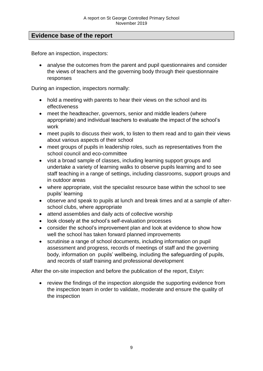# **Evidence base of the report**

Before an inspection, inspectors:

• analyse the outcomes from the parent and pupil questionnaires and consider the views of teachers and the governing body through their questionnaire responses

During an inspection, inspectors normally:

- hold a meeting with parents to hear their views on the school and its effectiveness
- meet the headteacher, governors, senior and middle leaders (where appropriate) and individual teachers to evaluate the impact of the school's work
- meet pupils to discuss their work, to listen to them read and to gain their views about various aspects of their school
- meet groups of pupils in leadership roles, such as representatives from the school council and eco-committee
- visit a broad sample of classes, including learning support groups and undertake a variety of learning walks to observe pupils learning and to see staff teaching in a range of settings, including classrooms, support groups and in outdoor areas
- where appropriate, visit the specialist resource base within the school to see pupils' learning
- observe and speak to pupils at lunch and break times and at a sample of afterschool clubs, where appropriate
- attend assemblies and daily acts of collective worship
- look closely at the school's self-evaluation processes
- consider the school's improvement plan and look at evidence to show how well the school has taken forward planned improvements
- scrutinise a range of school documents, including information on pupil assessment and progress, records of meetings of staff and the governing body, information on pupils' wellbeing, including the safeguarding of pupils, and records of staff training and professional development

After the on-site inspection and before the publication of the report, Estyn:

 review the findings of the inspection alongside the supporting evidence from the inspection team in order to validate, moderate and ensure the quality of the inspection